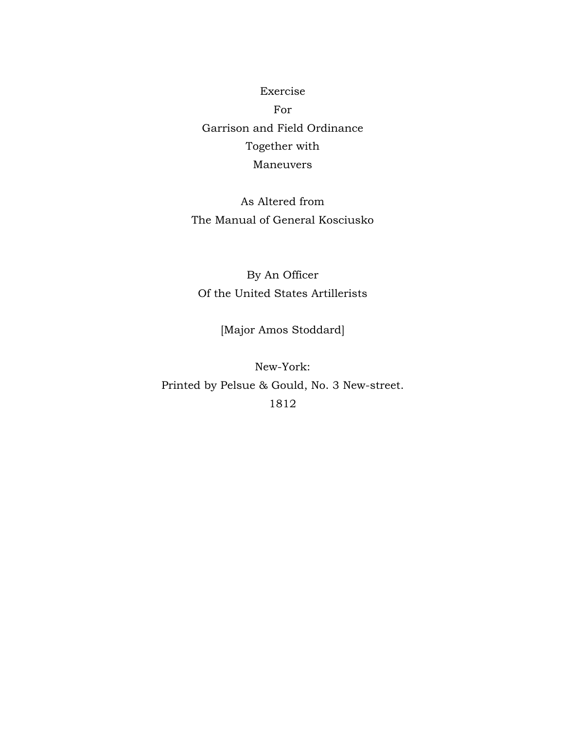Exercise For Garrison and Field Ordinance Together with Maneuvers

As Altered from The Manual of General Kosciusko

By An Officer Of the United States Artillerists

[Major Amos Stoddard]

New-York: Printed by Pelsue & Gould, No. 3 New-street. 1812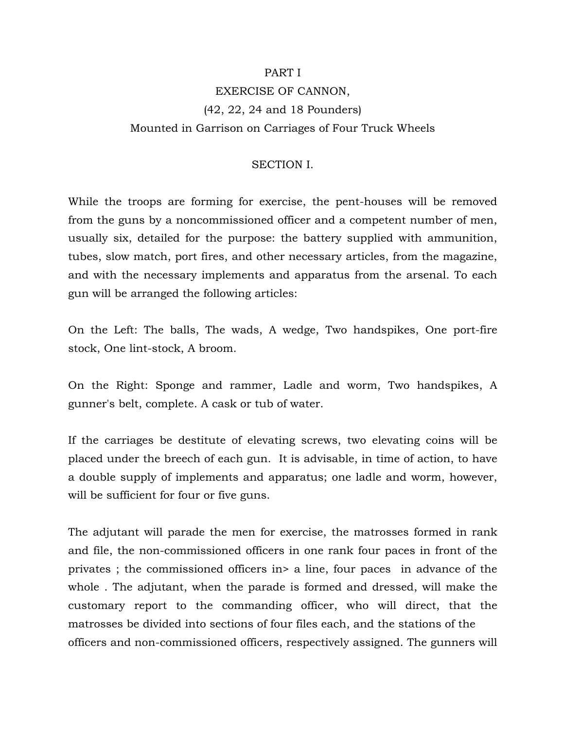#### PART I

# EXERCISE OF CANNON, (42, 22, 24 and 18 Pounders) Mounted in Garrison on Carriages of Four Truck Wheels

#### SECTION I.

While the troops are forming for exercise, the pent-houses will be removed from the guns by a noncommissioned officer and a competent number of men, usually six, detailed for the purpose: the battery supplied with ammunition, tubes, slow match, port fires, and other necessary articles, from the magazine, and with the necessary implements and apparatus from the arsenal. To each gun will be arranged the following articles:

On the Left: The balls, The wads, A wedge, Two handspikes, One port-fire stock, One lint-stock, A broom.

On the Right: Sponge and rammer, Ladle and worm, Two handspikes, A gunner's belt, complete. A cask or tub of water.

If the carriages be destitute of elevating screws, two elevating coins will be placed under the breech of each gun. It is advisable, in time of action, to have a double supply of implements and apparatus; one ladle and worm, however, will be sufficient for four or five guns.

The adjutant will parade the men for exercise, the matrosses formed in rank and file, the non-commissioned officers in one rank four paces in front of the privates ; the commissioned officers in> a line, four paces in advance of the whole . The adjutant, when the parade is formed and dressed, will make the customary report to the commanding officer, who will direct, that the matrosses be divided into sections of four files each, and the stations of the officers and non-commissioned officers, respectively assigned. The gunners will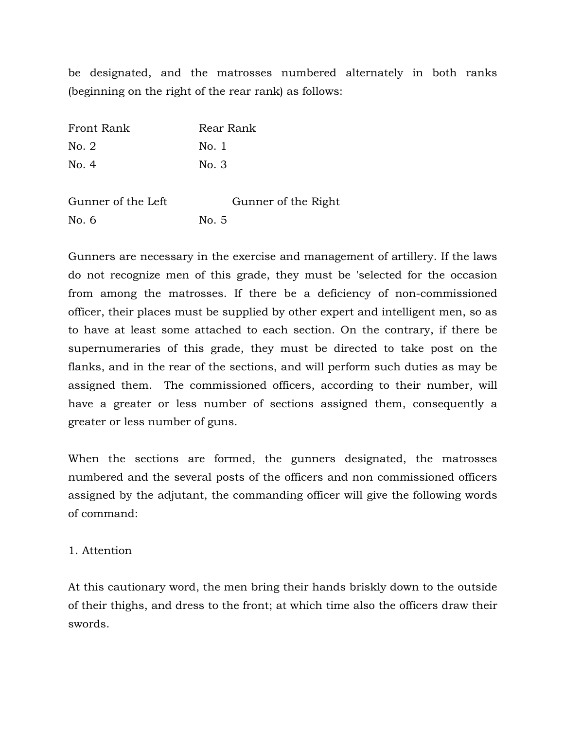be designated, and the matrosses numbered alternately in both ranks (beginning on the right of the rear rank) as follows:

| Front Rank         | Rear Rank           |
|--------------------|---------------------|
| No. 2              | No. 1               |
| No. 4              | No. 3               |
| Gunner of the Left | Gunner of the Right |
| No. 6              | No. 5               |

Gunners are necessary in the exercise and management of artillery. If the laws do not recognize men of this grade, they must be 'selected for the occasion from among the matrosses. If there be a deficiency of non-commissioned officer, their places must be supplied by other expert and intelligent men, so as to have at least some attached to each section. On the contrary, if there be supernumeraries of this grade, they must be directed to take post on the flanks, and in the rear of the sections, and will perform such duties as may be assigned them. The commissioned officers, according to their number, will have a greater or less number of sections assigned them, consequently a greater or less number of guns.

When the sections are formed, the gunners designated, the matrosses numbered and the several posts of the officers and non commissioned officers assigned by the adjutant, the commanding officer will give the following words of command:

## 1. Attention

At this cautionary word, the men bring their hands briskly down to the outside of their thighs, and dress to the front; at which time also the officers draw their swords.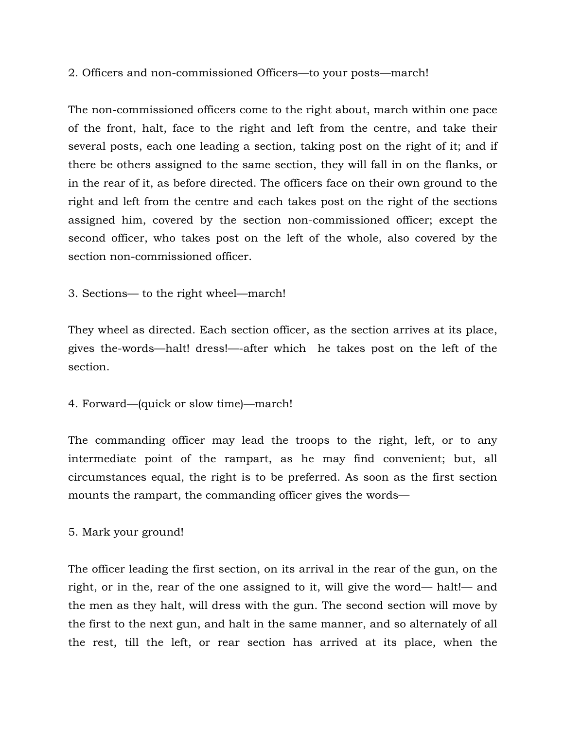2. Officers and non-commissioned Officers—to your posts—march!

The non-commissioned officers come to the right about, march within one pace of the front, halt, face to the right and left from the centre, and take their several posts, each one leading a section, taking post on the right of it; and if there be others assigned to the same section, they will fall in on the flanks, or in the rear of it, as before directed. The officers face on their own ground to the right and left from the centre and each takes post on the right of the sections assigned him, covered by the section non-commissioned officer; except the second officer, who takes post on the left of the whole, also covered by the section non-commissioned officer.

3. Sections— to the right wheel—march!

They wheel as directed. Each section officer, as the section arrives at its place, gives the-words—halt! dress!—-after which he takes post on the left of the section.

4. Forward—(quick or slow time)—march!

The commanding officer may lead the troops to the right, left, or to any intermediate point of the rampart, as he may find convenient; but, all circumstances equal, the right is to be preferred. As soon as the first section mounts the rampart, the commanding officer gives the words—

5. Mark your ground!

The officer leading the first section, on its arrival in the rear of the gun, on the right, or in the, rear of the one assigned to it, will give the word— halt!— and the men as they halt, will dress with the gun. The second section will move by the first to the next gun, and halt in the same manner, and so alternately of all the rest, till the left, or rear section has arrived at its place, when the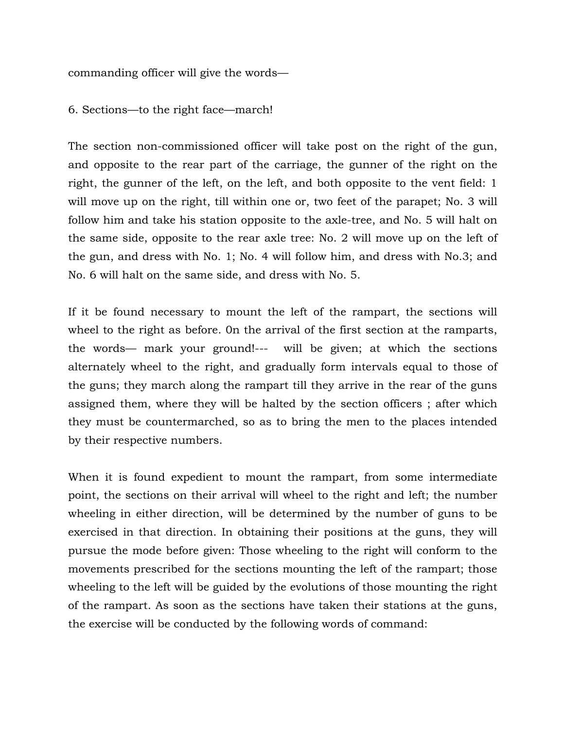commanding officer will give the words—

6. Sections—to the right face—march!

The section non-commissioned officer will take post on the right of the gun, and opposite to the rear part of the carriage, the gunner of the right on the right, the gunner of the left, on the left, and both opposite to the vent field: 1 will move up on the right, till within one or, two feet of the parapet; No. 3 will follow him and take his station opposite to the axle-tree, and No. 5 will halt on the same side, opposite to the rear axle tree: No. 2 will move up on the left of the gun, and dress with No. 1; No. 4 will follow him, and dress with No.3; and No. 6 will halt on the same side, and dress with No. 5.

If it be found necessary to mount the left of the rampart, the sections will wheel to the right as before. 0n the arrival of the first section at the ramparts, the words— mark your ground!--- will be given; at which the sections alternately wheel to the right, and gradually form intervals equal to those of the guns; they march along the rampart till they arrive in the rear of the guns assigned them, where they will be halted by the section officers ; after which they must be countermarched, so as to bring the men to the places intended by their respective numbers.

When it is found expedient to mount the rampart, from some intermediate point, the sections on their arrival will wheel to the right and left; the number wheeling in either direction, will be determined by the number of guns to be exercised in that direction. In obtaining their positions at the guns, they will pursue the mode before given: Those wheeling to the right will conform to the movements prescribed for the sections mounting the left of the rampart; those wheeling to the left will be guided by the evolutions of those mounting the right of the rampart. As soon as the sections have taken their stations at the guns, the exercise will be conducted by the following words of command: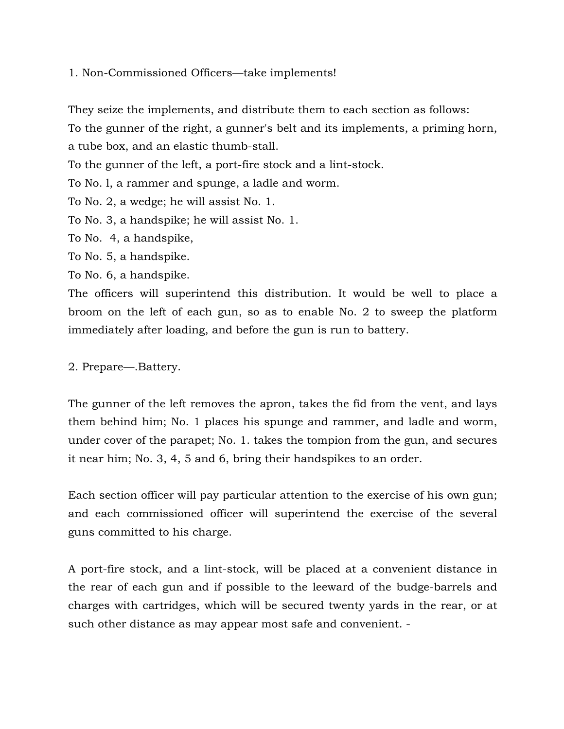1. Non-Commissioned Officers—take implements!

They seize the implements, and distribute them to each section as follows:

To the gunner of the right, a gunner's belt and its implements, a priming horn,

a tube box, and an elastic thumb-stall.

To the gunner of the left, a port-fire stock and a lint-stock.

To No. l, a rammer and spunge, a ladle and worm.

To No. 2, a wedge; he will assist No. 1.

To No. 3, a handspike; he will assist No. 1.

To No. 4, a handspike,

To No. 5, a handspike.

To No. 6, a handspike.

The officers will superintend this distribution. It would be well to place a broom on the left of each gun, so as to enable No. 2 to sweep the platform immediately after loading, and before the gun is run to battery.

2. Prepare—.Battery.

The gunner of the left removes the apron, takes the fid from the vent, and lays them behind him; No. 1 places his spunge and rammer, and ladle and worm, under cover of the parapet; No. 1. takes the tompion from the gun, and secures it near him; No. 3, 4, 5 and 6, bring their handspikes to an order.

Each section officer will pay particular attention to the exercise of his own gun; and each commissioned officer will superintend the exercise of the several guns committed to his charge.

A port-fire stock, and a lint-stock, will be placed at a convenient distance in the rear of each gun and if possible to the leeward of the budge-barrels and charges with cartridges, which will be secured twenty yards in the rear, or at such other distance as may appear most safe and convenient. -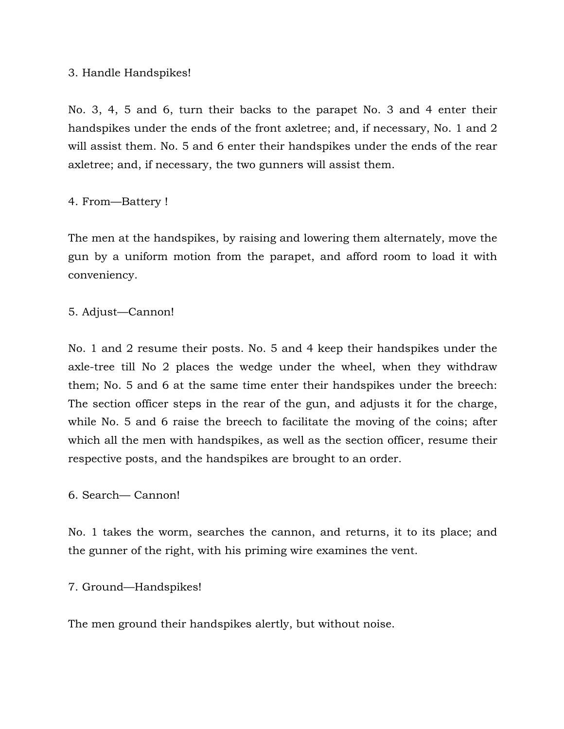## 3. Handle Handspikes!

No. 3, 4, 5 and 6, turn their backs to the parapet No. 3 and 4 enter their handspikes under the ends of the front axletree; and, if necessary, No. 1 and 2 will assist them. No. 5 and 6 enter their handspikes under the ends of the rear axletree; and, if necessary, the two gunners will assist them.

## 4. From—Battery !

The men at the handspikes, by raising and lowering them alternately, move the gun by a uniform motion from the parapet, and afford room to load it with conveniency.

## 5. Adjust—Cannon!

No. 1 and 2 resume their posts. No. 5 and 4 keep their handspikes under the axle-tree till No 2 places the wedge under the wheel, when they withdraw them; No. 5 and 6 at the same time enter their handspikes under the breech: The section officer steps in the rear of the gun, and adjusts it for the charge, while No. 5 and 6 raise the breech to facilitate the moving of the coins; after which all the men with handspikes, as well as the section officer, resume their respective posts, and the handspikes are brought to an order.

## 6. Search— Cannon!

No. 1 takes the worm, searches the cannon, and returns, it to its place; and the gunner of the right, with his priming wire examines the vent.

## 7. Ground—Handspikes!

The men ground their handspikes alertly, but without noise.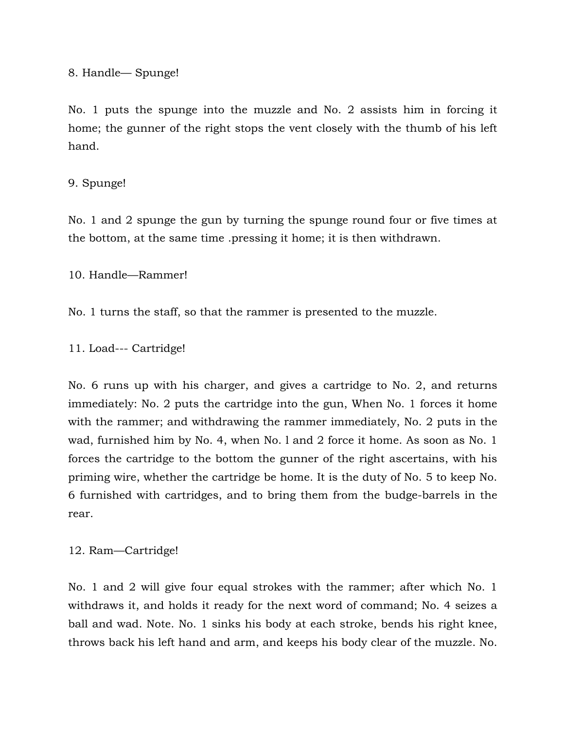8. Handle— Spunge!

No. 1 puts the spunge into the muzzle and No. 2 assists him in forcing it home; the gunner of the right stops the vent closely with the thumb of his left hand.

## 9. Spunge!

No. 1 and 2 spunge the gun by turning the spunge round four or five times at the bottom, at the same time .pressing it home; it is then withdrawn.

10. Handle—Rammer!

No. 1 turns the staff, so that the rammer is presented to the muzzle.

11. Load--- Cartridge!

No. 6 runs up with his charger, and gives a cartridge to No. 2, and returns immediately: No. 2 puts the cartridge into the gun, When No. 1 forces it home with the rammer; and withdrawing the rammer immediately, No. 2 puts in the wad, furnished him by No. 4, when No. l and 2 force it home. As soon as No. 1 forces the cartridge to the bottom the gunner of the right ascertains, with his priming wire, whether the cartridge be home. It is the duty of No. 5 to keep No. 6 furnished with cartridges, and to bring them from the budge-barrels in the rear.

12. Ram—Cartridge!

No. 1 and 2 will give four equal strokes with the rammer; after which No. 1 withdraws it, and holds it ready for the next word of command; No. 4 seizes a ball and wad. Note. No. 1 sinks his body at each stroke, bends his right knee, throws back his left hand and arm, and keeps his body clear of the muzzle. No.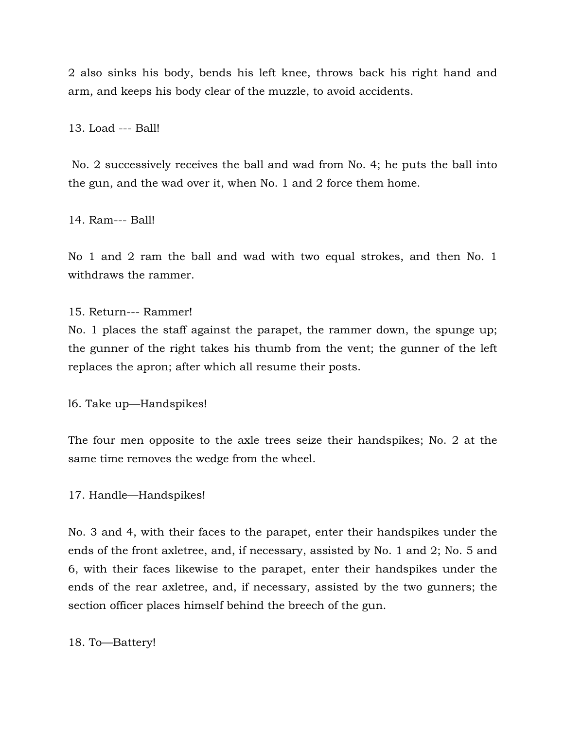2 also sinks his body, bends his left knee, throws back his right hand and arm, and keeps his body clear of the muzzle, to avoid accidents.

13. Load --- Ball!

 No. 2 successively receives the ball and wad from No. 4; he puts the ball into the gun, and the wad over it, when No. 1 and 2 force them home.

14. Ram--- Ball!

No 1 and 2 ram the ball and wad with two equal strokes, and then No. 1 withdraws the rammer.

15. Return--- Rammer!

No. 1 places the staff against the parapet, the rammer down, the spunge up; the gunner of the right takes his thumb from the vent; the gunner of the left replaces the apron; after which all resume their posts.

l6. Take up—Handspikes!

The four men opposite to the axle trees seize their handspikes; No. 2 at the same time removes the wedge from the wheel.

17. Handle—Handspikes!

No. 3 and 4, with their faces to the parapet, enter their handspikes under the ends of the front axletree, and, if necessary, assisted by No. 1 and 2; No. 5 and 6, with their faces likewise to the parapet, enter their handspikes under the ends of the rear axletree, and, if necessary, assisted by the two gunners; the section officer places himself behind the breech of the gun.

18. To—Battery!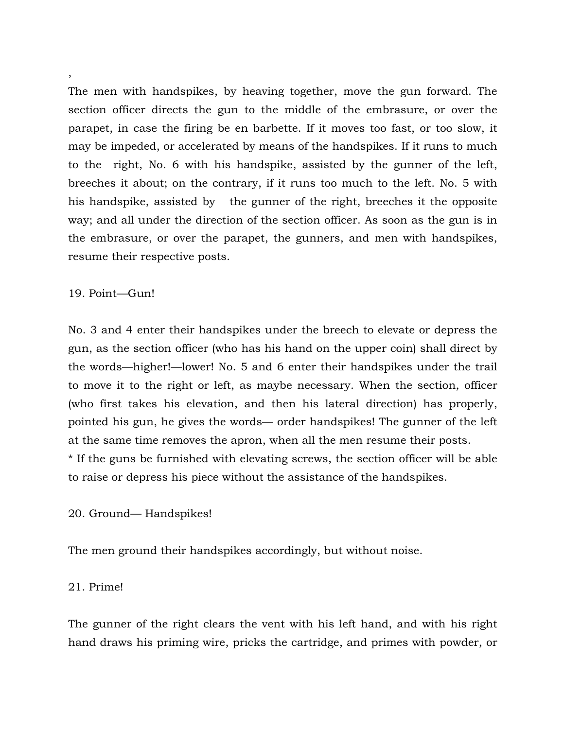The men with handspikes, by heaving together, move the gun forward. The section officer directs the gun to the middle of the embrasure, or over the parapet, in case the firing be en barbette. If it moves too fast, or too slow, it may be impeded, or accelerated by means of the handspikes. If it runs to much to the right, No. 6 with his handspike, assisted by the gunner of the left, breeches it about; on the contrary, if it runs too much to the left. No. 5 with his handspike, assisted by the gunner of the right, breeches it the opposite way; and all under the direction of the section officer. As soon as the gun is in the embrasure, or over the parapet, the gunners, and men with handspikes, resume their respective posts.

#### 19. Point—Gun!

No. 3 and 4 enter their handspikes under the breech to elevate or depress the gun, as the section officer (who has his hand on the upper coin) shall direct by the words—higher!—lower! No. 5 and 6 enter their handspikes under the trail to move it to the right or left, as maybe necessary. When the section, officer (who first takes his elevation, and then his lateral direction) has properly, pointed his gun, he gives the words— order handspikes! The gunner of the left at the same time removes the apron, when all the men resume their posts. \* If the guns be furnished with elevating screws, the section officer will be able to raise or depress his piece without the assistance of the handspikes.

## 20. Ground— Handspikes!

The men ground their handspikes accordingly, but without noise.

## 21. Prime!

The gunner of the right clears the vent with his left hand, and with his right hand draws his priming wire, pricks the cartridge, and primes with powder, or

## ,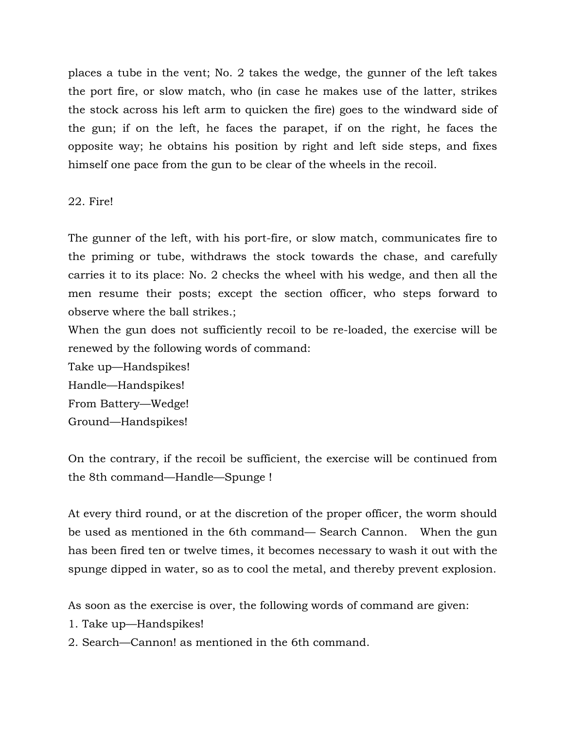places a tube in the vent; No. 2 takes the wedge, the gunner of the left takes the port fire, or slow match, who (in case he makes use of the latter, strikes the stock across his left arm to quicken the fire) goes to the windward side of the gun; if on the left, he faces the parapet, if on the right, he faces the opposite way; he obtains his position by right and left side steps, and fixes himself one pace from the gun to be clear of the wheels in the recoil.

## 22. Fire!

The gunner of the left, with his port-fire, or slow match, communicates fire to the priming or tube, withdraws the stock towards the chase, and carefully carries it to its place: No. 2 checks the wheel with his wedge, and then all the men resume their posts; except the section officer, who steps forward to observe where the ball strikes.;

When the gun does not sufficiently recoil to be re-loaded, the exercise will be renewed by the following words of command:

Take up—Handspikes! Handle—Handspikes! From Battery—Wedge! Ground—Handspikes!

On the contrary, if the recoil be sufficient, the exercise will be continued from the 8th command—Handle—Spunge !

At every third round, or at the discretion of the proper officer, the worm should be used as mentioned in the 6th command— Search Cannon. When the gun has been fired ten or twelve times, it becomes necessary to wash it out with the spunge dipped in water, so as to cool the metal, and thereby prevent explosion.

As soon as the exercise is over, the following words of command are given:

- 1. Take up—Handspikes!
- 2. Search—Cannon! as mentioned in the 6th command.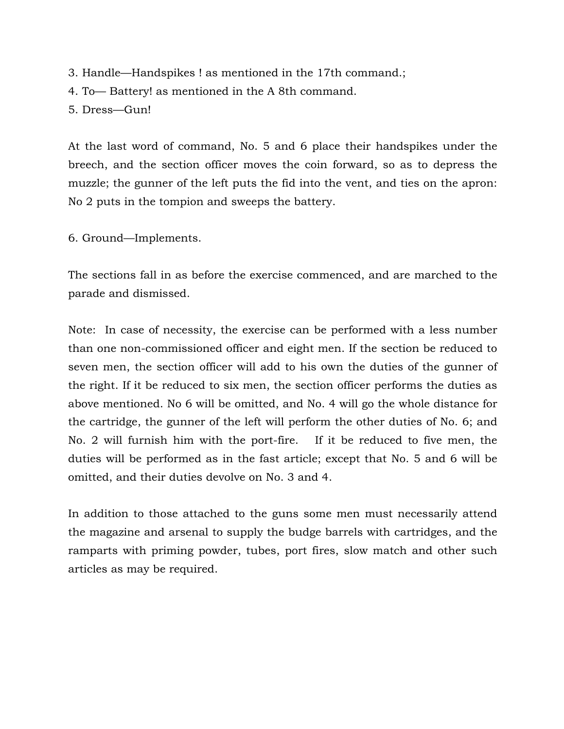- 3. Handle—Handspikes ! as mentioned in the 17th command.;
- 4. To— Battery! as mentioned in the A 8th command.

5. Dress—Gun!

At the last word of command, No. 5 and 6 place their handspikes under the breech, and the section officer moves the coin forward, so as to depress the muzzle; the gunner of the left puts the fid into the vent, and ties on the apron: No 2 puts in the tompion and sweeps the battery.

6. Ground—Implements.

The sections fall in as before the exercise commenced, and are marched to the parade and dismissed.

Note: In case of necessity, the exercise can be performed with a less number than one non-commissioned officer and eight men. If the section be reduced to seven men, the section officer will add to his own the duties of the gunner of the right. If it be reduced to six men, the section officer performs the duties as above mentioned. No 6 will be omitted, and No. 4 will go the whole distance for the cartridge, the gunner of the left will perform the other duties of No. 6; and No. 2 will furnish him with the port-fire. If it be reduced to five men, the duties will be performed as in the fast article; except that No. 5 and 6 will be omitted, and their duties devolve on No. 3 and 4.

In addition to those attached to the guns some men must necessarily attend the magazine and arsenal to supply the budge barrels with cartridges, and the ramparts with priming powder, tubes, port fires, slow match and other such articles as may be required.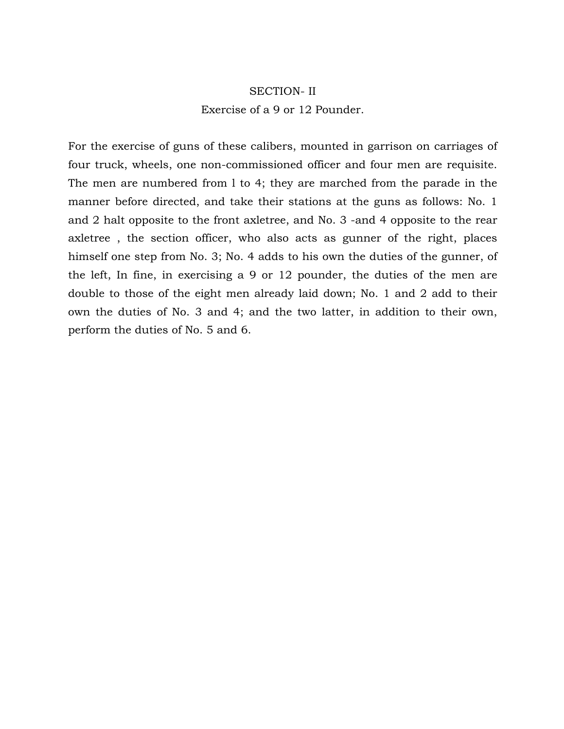## SECTION- II Exercise of a 9 or 12 Pounder.

For the exercise of guns of these calibers, mounted in garrison on carriages of four truck, wheels, one non-commissioned officer and four men are requisite. The men are numbered from l to 4; they are marched from the parade in the manner before directed, and take their stations at the guns as follows: No. 1 and 2 halt opposite to the front axletree, and No. 3 -and 4 opposite to the rear axletree , the section officer, who also acts as gunner of the right, places himself one step from No. 3; No. 4 adds to his own the duties of the gunner, of the left, In fine, in exercising a 9 or 12 pounder, the duties of the men are double to those of the eight men already laid down; No. 1 and 2 add to their own the duties of No. 3 and 4; and the two latter, in addition to their own, perform the duties of No. 5 and 6.